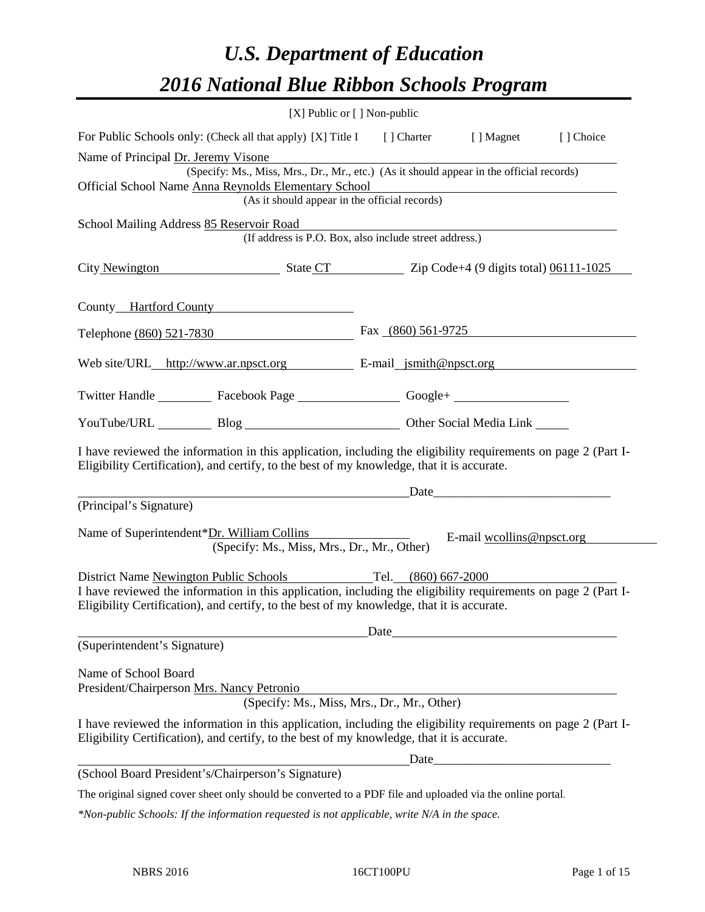# *U.S. Department of Education 2016 National Blue Ribbon Schools Program*

| [X] Public or [] Non-public                                                                                                                                                                                  |                                                                                                                                                                                                                               |                                                                                                                                                                                                                               |            |
|--------------------------------------------------------------------------------------------------------------------------------------------------------------------------------------------------------------|-------------------------------------------------------------------------------------------------------------------------------------------------------------------------------------------------------------------------------|-------------------------------------------------------------------------------------------------------------------------------------------------------------------------------------------------------------------------------|------------|
| For Public Schools only: (Check all that apply) [X] Title I [] Charter [] Magnet                                                                                                                             |                                                                                                                                                                                                                               |                                                                                                                                                                                                                               | [ ] Choice |
| Name of Principal Dr. Jeremy Visone                                                                                                                                                                          |                                                                                                                                                                                                                               |                                                                                                                                                                                                                               |            |
| (Specify: Ms., Miss, Mrs., Dr., Mr., etc.) (As it should appear in the official records)                                                                                                                     |                                                                                                                                                                                                                               |                                                                                                                                                                                                                               |            |
| Official School Name Anna Reynolds Elementary School                                                                                                                                                         |                                                                                                                                                                                                                               | <u> 1980 - Johann Barn, mars ann an t-Amhain Aonaich an t-Aonaich an t-Aonaich ann an t-Aonaich ann an t-Aonaich</u>                                                                                                          |            |
| (As it should appear in the official records)                                                                                                                                                                |                                                                                                                                                                                                                               |                                                                                                                                                                                                                               |            |
| School Mailing Address 85 Reservoir Road<br>(If address is P.O. Box, also include street address.)                                                                                                           |                                                                                                                                                                                                                               |                                                                                                                                                                                                                               |            |
| City Newington State CT State CT Zip Code+4 (9 digits total) 06111-1025                                                                                                                                      |                                                                                                                                                                                                                               |                                                                                                                                                                                                                               |            |
| County Hartford County                                                                                                                                                                                       |                                                                                                                                                                                                                               |                                                                                                                                                                                                                               |            |
| Telephone (860) 521-7830                                                                                                                                                                                     | Fax $(860)$ 561-9725                                                                                                                                                                                                          |                                                                                                                                                                                                                               |            |
| Web site/URL_http://www.ar.npsct.org E-mail_jsmith@npsct.org                                                                                                                                                 |                                                                                                                                                                                                                               |                                                                                                                                                                                                                               |            |
| Twitter Handle ____________ Facebook Page ____________________Google+ __________                                                                                                                             |                                                                                                                                                                                                                               |                                                                                                                                                                                                                               |            |
| YouTube/URL Blog Blog Cher Social Media Link                                                                                                                                                                 |                                                                                                                                                                                                                               |                                                                                                                                                                                                                               |            |
| I have reviewed the information in this application, including the eligibility requirements on page 2 (Part I-<br>Eligibility Certification), and certify, to the best of my knowledge, that it is accurate. |                                                                                                                                                                                                                               |                                                                                                                                                                                                                               |            |
|                                                                                                                                                                                                              |                                                                                                                                                                                                                               | Date and the same state of the same state of the same state of the same state of the same state of the same state of the same state of the same state of the same state of the same state of the same state of the same state |            |
| (Principal's Signature)                                                                                                                                                                                      |                                                                                                                                                                                                                               |                                                                                                                                                                                                                               |            |
| Name of Superintendent*Dr. William Collins<br>(Specify: Ms., Miss, Mrs., Dr., Mr., Other)                                                                                                                    |                                                                                                                                                                                                                               | E-mail woollins@npsct.org                                                                                                                                                                                                     |            |
| District Name Newington Public Schools Tel. (860) 667-2000                                                                                                                                                   |                                                                                                                                                                                                                               |                                                                                                                                                                                                                               |            |
| I have reviewed the information in this application, including the eligibility requirements on page 2 (Part I-<br>Eligibility Certification), and certify, to the best of my knowledge, that it is accurate. |                                                                                                                                                                                                                               |                                                                                                                                                                                                                               |            |
|                                                                                                                                                                                                              | Date has been a series of the series of the series of the series of the series of the series of the series of the series of the series of the series of the series of the series of the series of the series of the series of |                                                                                                                                                                                                                               |            |
| (Superintendent's Signature)                                                                                                                                                                                 |                                                                                                                                                                                                                               |                                                                                                                                                                                                                               |            |
| Name of School Board<br>President/Chairperson Mrs. Nancy Petronio<br>(Specify: Ms., Miss, Mrs., Dr., Mr., Other)                                                                                             |                                                                                                                                                                                                                               |                                                                                                                                                                                                                               |            |
| I have reviewed the information in this application, including the eligibility requirements on page 2 (Part I-<br>Eligibility Certification), and certify, to the best of my knowledge, that it is accurate. |                                                                                                                                                                                                                               |                                                                                                                                                                                                                               |            |
|                                                                                                                                                                                                              |                                                                                                                                                                                                                               |                                                                                                                                                                                                                               |            |
| (School Board President's/Chairperson's Signature)                                                                                                                                                           |                                                                                                                                                                                                                               |                                                                                                                                                                                                                               |            |
| The original signed cover sheet only should be converted to a PDF file and uploaded via the online portal.                                                                                                   |                                                                                                                                                                                                                               |                                                                                                                                                                                                                               |            |

*\*Non-public Schools: If the information requested is not applicable, write N/A in the space.*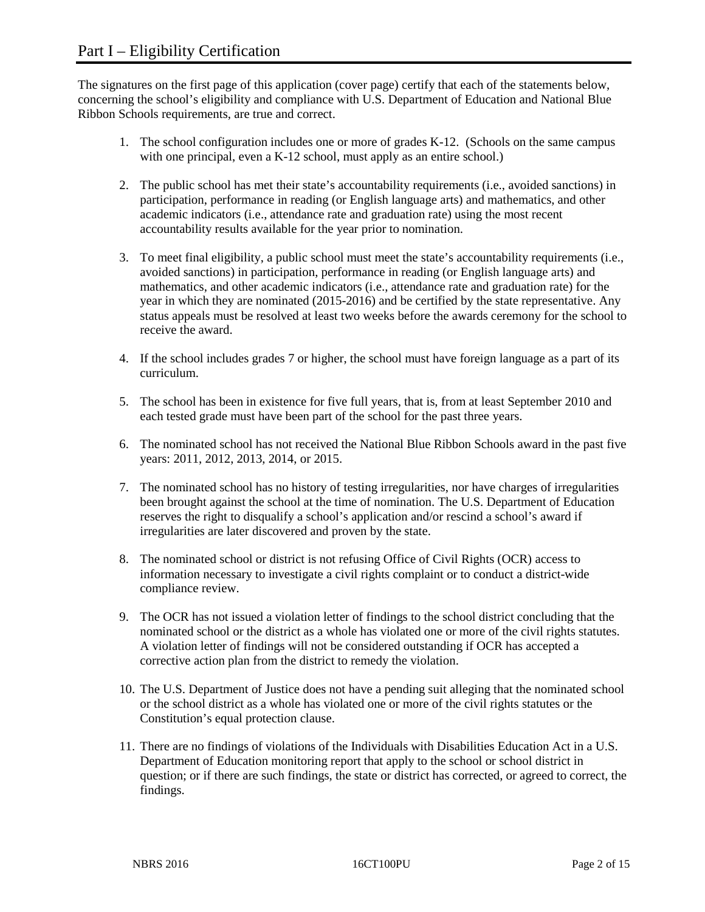The signatures on the first page of this application (cover page) certify that each of the statements below, concerning the school's eligibility and compliance with U.S. Department of Education and National Blue Ribbon Schools requirements, are true and correct.

- 1. The school configuration includes one or more of grades K-12. (Schools on the same campus with one principal, even a K-12 school, must apply as an entire school.)
- 2. The public school has met their state's accountability requirements (i.e., avoided sanctions) in participation, performance in reading (or English language arts) and mathematics, and other academic indicators (i.e., attendance rate and graduation rate) using the most recent accountability results available for the year prior to nomination.
- 3. To meet final eligibility, a public school must meet the state's accountability requirements (i.e., avoided sanctions) in participation, performance in reading (or English language arts) and mathematics, and other academic indicators (i.e., attendance rate and graduation rate) for the year in which they are nominated (2015-2016) and be certified by the state representative. Any status appeals must be resolved at least two weeks before the awards ceremony for the school to receive the award.
- 4. If the school includes grades 7 or higher, the school must have foreign language as a part of its curriculum.
- 5. The school has been in existence for five full years, that is, from at least September 2010 and each tested grade must have been part of the school for the past three years.
- 6. The nominated school has not received the National Blue Ribbon Schools award in the past five years: 2011, 2012, 2013, 2014, or 2015.
- 7. The nominated school has no history of testing irregularities, nor have charges of irregularities been brought against the school at the time of nomination. The U.S. Department of Education reserves the right to disqualify a school's application and/or rescind a school's award if irregularities are later discovered and proven by the state.
- 8. The nominated school or district is not refusing Office of Civil Rights (OCR) access to information necessary to investigate a civil rights complaint or to conduct a district-wide compliance review.
- 9. The OCR has not issued a violation letter of findings to the school district concluding that the nominated school or the district as a whole has violated one or more of the civil rights statutes. A violation letter of findings will not be considered outstanding if OCR has accepted a corrective action plan from the district to remedy the violation.
- 10. The U.S. Department of Justice does not have a pending suit alleging that the nominated school or the school district as a whole has violated one or more of the civil rights statutes or the Constitution's equal protection clause.
- 11. There are no findings of violations of the Individuals with Disabilities Education Act in a U.S. Department of Education monitoring report that apply to the school or school district in question; or if there are such findings, the state or district has corrected, or agreed to correct, the findings.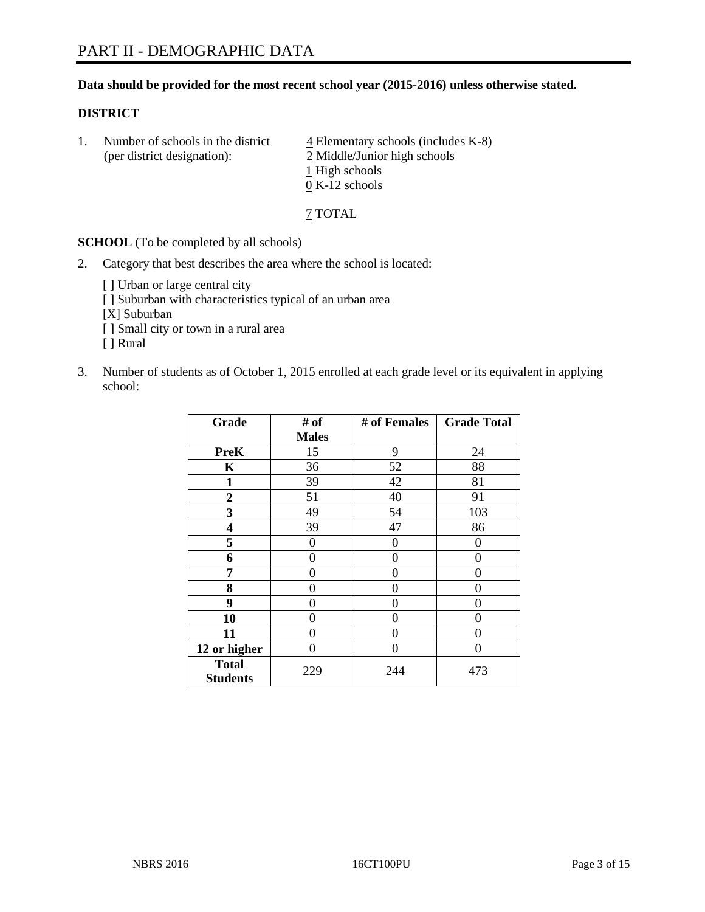# **Data should be provided for the most recent school year (2015-2016) unless otherwise stated.**

# **DISTRICT**

1. Number of schools in the district  $\frac{4}{4}$  Elementary schools (includes K-8) (per district designation): 2 Middle/Junior high schools 1 High schools 0 K-12 schools

7 TOTAL

**SCHOOL** (To be completed by all schools)

- 2. Category that best describes the area where the school is located:
	- [] Urban or large central city [ ] Suburban with characteristics typical of an urban area [X] Suburban [ ] Small city or town in a rural area [ ] Rural
- 3. Number of students as of October 1, 2015 enrolled at each grade level or its equivalent in applying school:

| Grade                           | # of         | # of Females | <b>Grade Total</b> |
|---------------------------------|--------------|--------------|--------------------|
|                                 | <b>Males</b> |              |                    |
| <b>PreK</b>                     | 15           | 9            | 24                 |
| $\mathbf K$                     | 36           | 52           | 88                 |
| $\mathbf{1}$                    | 39           | 42           | 81                 |
| $\overline{2}$                  | 51           | 40           | 91                 |
| 3                               | 49           | 54           | 103                |
| 4                               | 39           | 47           | 86                 |
| 5                               | 0            | 0            | $\Omega$           |
| 6                               | 0            | 0            | 0                  |
| 7                               | 0            | 0            | 0                  |
| 8                               | $\theta$     | $\theta$     | 0                  |
| 9                               | 0            | 0            | 0                  |
| 10                              | 0            | $\Omega$     | 0                  |
| 11                              | 0            | 0            | 0                  |
| 12 or higher                    | 0            | 0            | 0                  |
| <b>Total</b><br><b>Students</b> | 229          | 244          | 473                |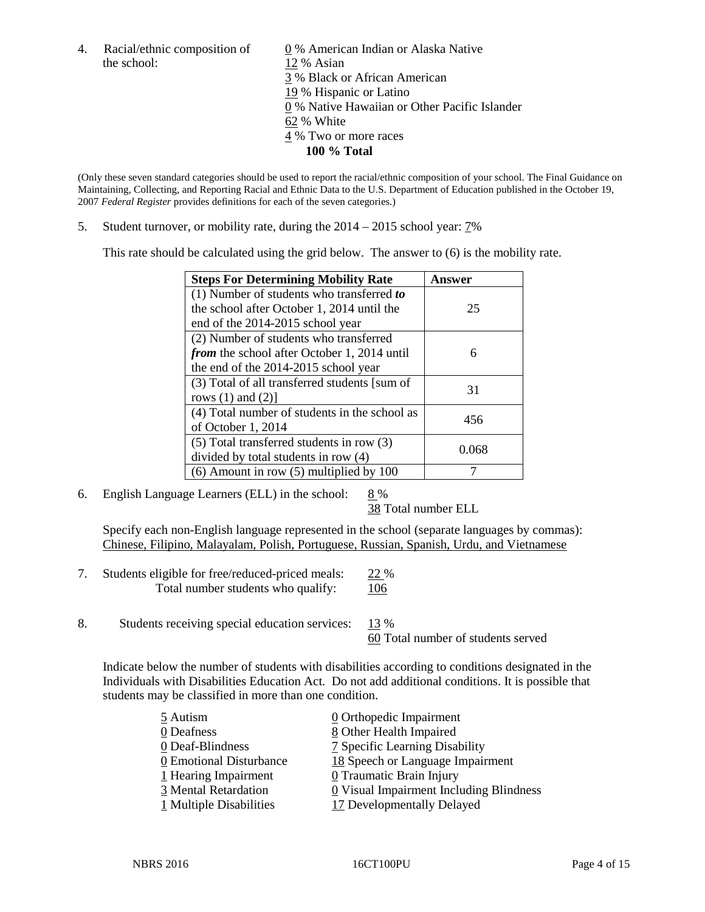the school: 12 % Asian

4. Racial/ethnic composition of  $\underline{0}$  % American Indian or Alaska Native 3 % Black or African American 19 % Hispanic or Latino 0 % Native Hawaiian or Other Pacific Islander 62 % White 4 % Two or more races **100 % Total**

(Only these seven standard categories should be used to report the racial/ethnic composition of your school. The Final Guidance on Maintaining, Collecting, and Reporting Racial and Ethnic Data to the U.S. Department of Education published in the October 19, 2007 *Federal Register* provides definitions for each of the seven categories.)

5. Student turnover, or mobility rate, during the  $2014 - 2015$  school year:  $7\%$ 

This rate should be calculated using the grid below. The answer to (6) is the mobility rate.

| <b>Steps For Determining Mobility Rate</b>         | Answer |  |
|----------------------------------------------------|--------|--|
| (1) Number of students who transferred to          |        |  |
| the school after October 1, 2014 until the         | 25     |  |
| end of the 2014-2015 school year                   |        |  |
| (2) Number of students who transferred             |        |  |
| <i>from</i> the school after October 1, 2014 until | 6      |  |
| the end of the 2014-2015 school year               |        |  |
| (3) Total of all transferred students [sum of      | 31     |  |
| rows $(1)$ and $(2)$ ]                             |        |  |
| (4) Total number of students in the school as      | 456    |  |
| of October 1, 2014                                 |        |  |
| $(5)$ Total transferred students in row $(3)$      | 0.068  |  |
| divided by total students in row (4)               |        |  |
| $(6)$ Amount in row $(5)$ multiplied by 100        |        |  |

6. English Language Learners (ELL) in the school:  $8\%$ 

38 Total number ELL

Specify each non-English language represented in the school (separate languages by commas): Chinese, Filipino, Malayalam, Polish, Portuguese, Russian, Spanish, Urdu, and Vietnamese

- 7. Students eligible for free/reduced-priced meals: 22 % Total number students who qualify: 106
- 8. Students receiving special education services: 13 %

60 Total number of students served

Indicate below the number of students with disabilities according to conditions designated in the Individuals with Disabilities Education Act. Do not add additional conditions. It is possible that students may be classified in more than one condition.

| 5 Autism                | 0 Orthopedic Impairment                 |
|-------------------------|-----------------------------------------|
| 0 Deafness              | 8 Other Health Impaired                 |
| 0 Deaf-Blindness        | 7 Specific Learning Disability          |
| 0 Emotional Disturbance | 18 Speech or Language Impairment        |
| 1 Hearing Impairment    | 0 Traumatic Brain Injury                |
| 3 Mental Retardation    | 0 Visual Impairment Including Blindness |
| 1 Multiple Disabilities | 17 Developmentally Delayed              |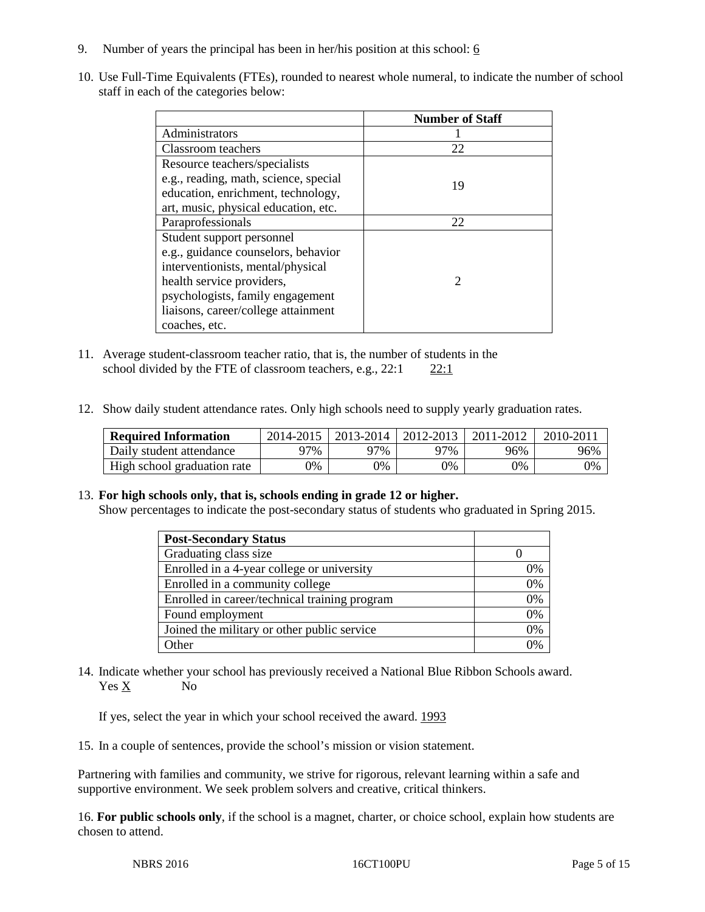- 9. Number of years the principal has been in her/his position at this school:  $6$
- 10. Use Full-Time Equivalents (FTEs), rounded to nearest whole numeral, to indicate the number of school staff in each of the categories below:

|                                       | <b>Number of Staff</b>      |
|---------------------------------------|-----------------------------|
| Administrators                        |                             |
| Classroom teachers                    | 22                          |
| Resource teachers/specialists         |                             |
| e.g., reading, math, science, special | 19                          |
| education, enrichment, technology,    |                             |
| art, music, physical education, etc.  |                             |
| Paraprofessionals                     | 22                          |
| Student support personnel             |                             |
| e.g., guidance counselors, behavior   |                             |
| interventionists, mental/physical     |                             |
| health service providers,             | $\mathcal{D}_{\mathcal{A}}$ |
| psychologists, family engagement      |                             |
| liaisons, career/college attainment   |                             |
| coaches, etc.                         |                             |

- 11. Average student-classroom teacher ratio, that is, the number of students in the school divided by the FTE of classroom teachers, e.g.,  $22:1$  22:1
- 12. Show daily student attendance rates. Only high schools need to supply yearly graduation rates.

| <b>Required Information</b> | 2014-2015 | 2013-2014 l | 2012-2013 | 2011-2012 | 2010-201 |
|-----------------------------|-----------|-------------|-----------|-----------|----------|
| Daily student attendance    | 97%       | 97%         | 97%       | 96%       | 96%      |
| High school graduation rate | 9%        | 0%          | 0%        | 9%        | 0%       |

# 13. **For high schools only, that is, schools ending in grade 12 or higher.**

Show percentages to indicate the post-secondary status of students who graduated in Spring 2015.

| <b>Post-Secondary Status</b>                  |    |
|-----------------------------------------------|----|
| Graduating class size                         |    |
| Enrolled in a 4-year college or university    | 0% |
| Enrolled in a community college               | 0% |
| Enrolled in career/technical training program | 0% |
| Found employment                              | 0% |
| Joined the military or other public service   | 0% |
| Other                                         | 0/ |

14. Indicate whether your school has previously received a National Blue Ribbon Schools award. Yes X No

If yes, select the year in which your school received the award. 1993

15. In a couple of sentences, provide the school's mission or vision statement.

Partnering with families and community, we strive for rigorous, relevant learning within a safe and supportive environment. We seek problem solvers and creative, critical thinkers.

16. **For public schools only**, if the school is a magnet, charter, or choice school, explain how students are chosen to attend.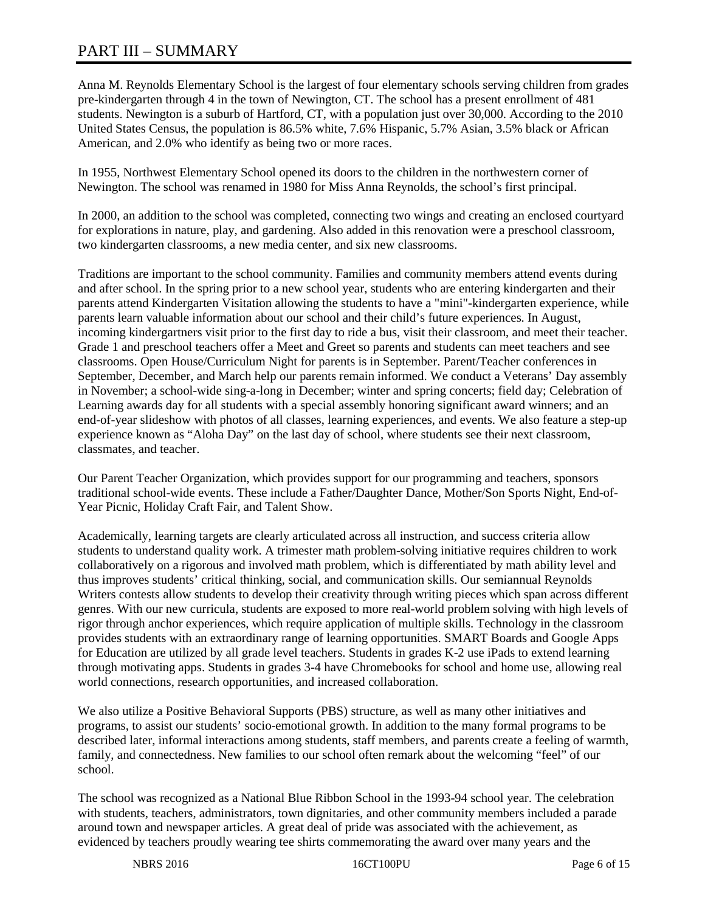# PART III – SUMMARY

Anna M. Reynolds Elementary School is the largest of four elementary schools serving children from grades pre-kindergarten through 4 in the town of Newington, CT. The school has a present enrollment of 481 students. Newington is a suburb of Hartford, CT, with a population just over 30,000. According to the 2010 United States Census, the population is 86.5% white, 7.6% Hispanic, 5.7% Asian, 3.5% black or African American, and 2.0% who identify as being two or more races.

In 1955, Northwest Elementary School opened its doors to the children in the northwestern corner of Newington. The school was renamed in 1980 for Miss Anna Reynolds, the school's first principal.

In 2000, an addition to the school was completed, connecting two wings and creating an enclosed courtyard for explorations in nature, play, and gardening. Also added in this renovation were a preschool classroom, two kindergarten classrooms, a new media center, and six new classrooms.

Traditions are important to the school community. Families and community members attend events during and after school. In the spring prior to a new school year, students who are entering kindergarten and their parents attend Kindergarten Visitation allowing the students to have a "mini"-kindergarten experience, while parents learn valuable information about our school and their child's future experiences. In August, incoming kindergartners visit prior to the first day to ride a bus, visit their classroom, and meet their teacher. Grade 1 and preschool teachers offer a Meet and Greet so parents and students can meet teachers and see classrooms. Open House/Curriculum Night for parents is in September. Parent/Teacher conferences in September, December, and March help our parents remain informed. We conduct a Veterans' Day assembly in November; a school-wide sing-a-long in December; winter and spring concerts; field day; Celebration of Learning awards day for all students with a special assembly honoring significant award winners; and an end-of-year slideshow with photos of all classes, learning experiences, and events. We also feature a step-up experience known as "Aloha Day" on the last day of school, where students see their next classroom, classmates, and teacher.

Our Parent Teacher Organization, which provides support for our programming and teachers, sponsors traditional school-wide events. These include a Father/Daughter Dance, Mother/Son Sports Night, End-of-Year Picnic, Holiday Craft Fair, and Talent Show.

Academically, learning targets are clearly articulated across all instruction, and success criteria allow students to understand quality work. A trimester math problem-solving initiative requires children to work collaboratively on a rigorous and involved math problem, which is differentiated by math ability level and thus improves students' critical thinking, social, and communication skills. Our semiannual Reynolds Writers contests allow students to develop their creativity through writing pieces which span across different genres. With our new curricula, students are exposed to more real-world problem solving with high levels of rigor through anchor experiences, which require application of multiple skills. Technology in the classroom provides students with an extraordinary range of learning opportunities. SMART Boards and Google Apps for Education are utilized by all grade level teachers. Students in grades K-2 use iPads to extend learning through motivating apps. Students in grades 3-4 have Chromebooks for school and home use, allowing real world connections, research opportunities, and increased collaboration.

We also utilize a Positive Behavioral Supports (PBS) structure, as well as many other initiatives and programs, to assist our students' socio-emotional growth. In addition to the many formal programs to be described later, informal interactions among students, staff members, and parents create a feeling of warmth, family, and connectedness. New families to our school often remark about the welcoming "feel" of our school.

The school was recognized as a National Blue Ribbon School in the 1993-94 school year. The celebration with students, teachers, administrators, town dignitaries, and other community members included a parade around town and newspaper articles. A great deal of pride was associated with the achievement, as evidenced by teachers proudly wearing tee shirts commemorating the award over many years and the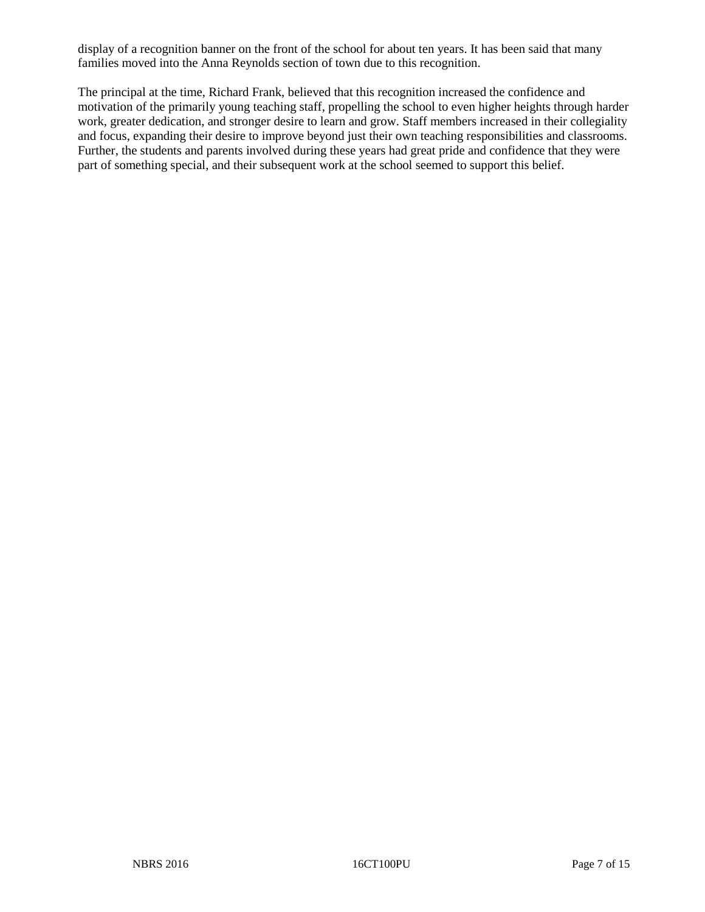display of a recognition banner on the front of the school for about ten years. It has been said that many families moved into the Anna Reynolds section of town due to this recognition.

The principal at the time, Richard Frank, believed that this recognition increased the confidence and motivation of the primarily young teaching staff, propelling the school to even higher heights through harder work, greater dedication, and stronger desire to learn and grow. Staff members increased in their collegiality and focus, expanding their desire to improve beyond just their own teaching responsibilities and classrooms. Further, the students and parents involved during these years had great pride and confidence that they were part of something special, and their subsequent work at the school seemed to support this belief.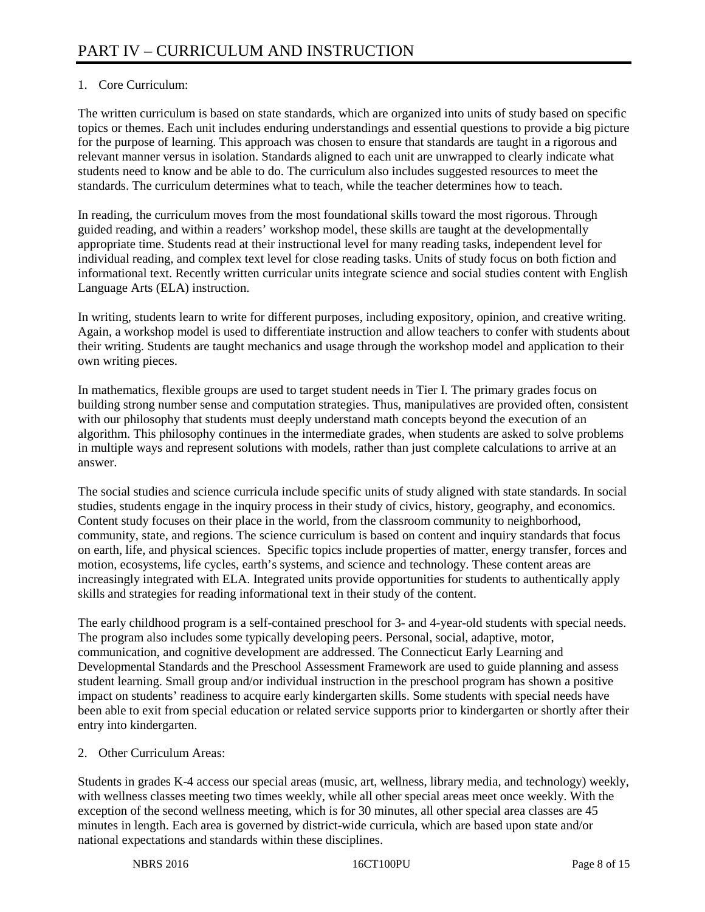# 1. Core Curriculum:

The written curriculum is based on state standards, which are organized into units of study based on specific topics or themes. Each unit includes enduring understandings and essential questions to provide a big picture for the purpose of learning. This approach was chosen to ensure that standards are taught in a rigorous and relevant manner versus in isolation. Standards aligned to each unit are unwrapped to clearly indicate what students need to know and be able to do. The curriculum also includes suggested resources to meet the standards. The curriculum determines what to teach, while the teacher determines how to teach.

In reading, the curriculum moves from the most foundational skills toward the most rigorous. Through guided reading, and within a readers' workshop model, these skills are taught at the developmentally appropriate time. Students read at their instructional level for many reading tasks, independent level for individual reading, and complex text level for close reading tasks. Units of study focus on both fiction and informational text. Recently written curricular units integrate science and social studies content with English Language Arts (ELA) instruction.

In writing, students learn to write for different purposes, including expository, opinion, and creative writing. Again, a workshop model is used to differentiate instruction and allow teachers to confer with students about their writing. Students are taught mechanics and usage through the workshop model and application to their own writing pieces.

In mathematics, flexible groups are used to target student needs in Tier I. The primary grades focus on building strong number sense and computation strategies. Thus, manipulatives are provided often, consistent with our philosophy that students must deeply understand math concepts beyond the execution of an algorithm. This philosophy continues in the intermediate grades, when students are asked to solve problems in multiple ways and represent solutions with models, rather than just complete calculations to arrive at an answer.

The social studies and science curricula include specific units of study aligned with state standards. In social studies, students engage in the inquiry process in their study of civics, history, geography, and economics. Content study focuses on their place in the world, from the classroom community to neighborhood, community, state, and regions. The science curriculum is based on content and inquiry standards that focus on earth, life, and physical sciences. Specific topics include properties of matter, energy transfer, forces and motion, ecosystems, life cycles, earth's systems, and science and technology. These content areas are increasingly integrated with ELA. Integrated units provide opportunities for students to authentically apply skills and strategies for reading informational text in their study of the content.

The early childhood program is a self-contained preschool for 3- and 4-year-old students with special needs. The program also includes some typically developing peers. Personal, social, adaptive, motor, communication, and cognitive development are addressed. The Connecticut Early Learning and Developmental Standards and the Preschool Assessment Framework are used to guide planning and assess student learning. Small group and/or individual instruction in the preschool program has shown a positive impact on students' readiness to acquire early kindergarten skills. Some students with special needs have been able to exit from special education or related service supports prior to kindergarten or shortly after their entry into kindergarten.

2. Other Curriculum Areas:

Students in grades K-4 access our special areas (music, art, wellness, library media, and technology) weekly, with wellness classes meeting two times weekly, while all other special areas meet once weekly. With the exception of the second wellness meeting, which is for 30 minutes, all other special area classes are 45 minutes in length. Each area is governed by district-wide curricula, which are based upon state and/or national expectations and standards within these disciplines.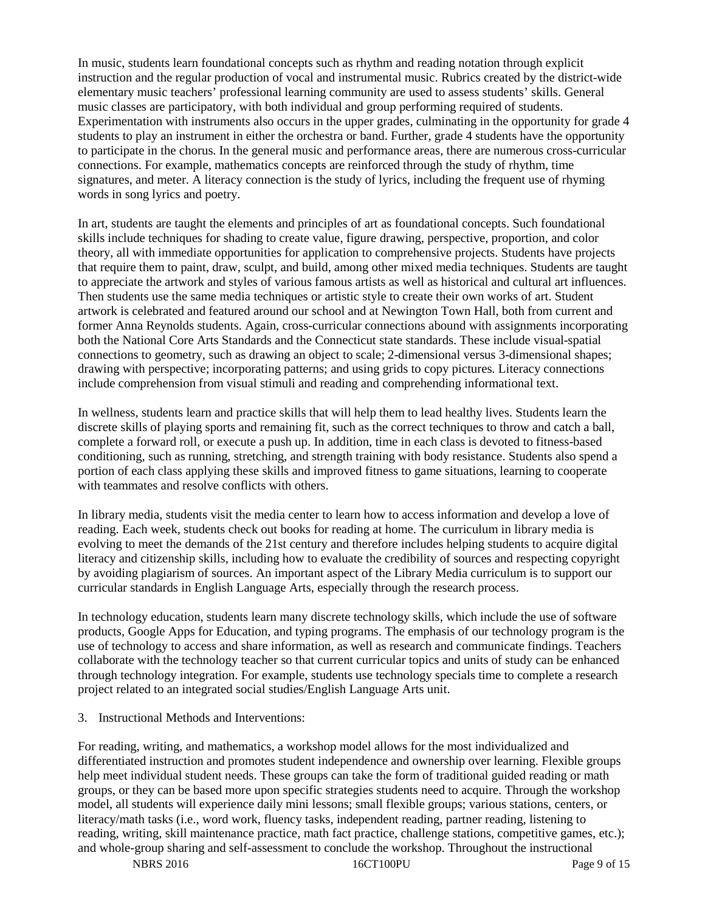In music, students learn foundational concepts such as rhythm and reading notation through explicit instruction and the regular production of vocal and instrumental music. Rubrics created by the district-wide elementary music teachers' professional learning community are used to assess students' skills. General music classes are participatory, with both individual and group performing required of students. Experimentation with instruments also occurs in the upper grades, culminating in the opportunity for grade 4 students to play an instrument in either the orchestra or band. Further, grade 4 students have the opportunity to participate in the chorus. In the general music and performance areas, there are numerous cross-curricular connections. For example, mathematics concepts are reinforced through the study of rhythm, time signatures, and meter. A literacy connection is the study of lyrics, including the frequent use of rhyming words in song lyrics and poetry.

In art, students are taught the elements and principles of art as foundational concepts. Such foundational skills include techniques for shading to create value, figure drawing, perspective, proportion, and color theory, all with immediate opportunities for application to comprehensive projects. Students have projects that require them to paint, draw, sculpt, and build, among other mixed media techniques. Students are taught to appreciate the artwork and styles of various famous artists as well as historical and cultural art influences. Then students use the same media techniques or artistic style to create their own works of art. Student artwork is celebrated and featured around our school and at Newington Town Hall, both from current and former Anna Reynolds students. Again, cross-curricular connections abound with assignments incorporating both the National Core Arts Standards and the Connecticut state standards. These include visual-spatial connections to geometry, such as drawing an object to scale; 2-dimensional versus 3-dimensional shapes; drawing with perspective; incorporating patterns; and using grids to copy pictures. Literacy connections include comprehension from visual stimuli and reading and comprehending informational text.

In wellness, students learn and practice skills that will help them to lead healthy lives. Students learn the discrete skills of playing sports and remaining fit, such as the correct techniques to throw and catch a ball, complete a forward roll, or execute a push up. In addition, time in each class is devoted to fitness-based conditioning, such as running, stretching, and strength training with body resistance. Students also spend a portion of each class applying these skills and improved fitness to game situations, learning to cooperate with teammates and resolve conflicts with others.

In library media, students visit the media center to learn how to access information and develop a love of reading. Each week, students check out books for reading at home. The curriculum in library media is evolving to meet the demands of the 21st century and therefore includes helping students to acquire digital literacy and citizenship skills, including how to evaluate the credibility of sources and respecting copyright by avoiding plagiarism of sources. An important aspect of the Library Media curriculum is to support our curricular standards in English Language Arts, especially through the research process.

In technology education, students learn many discrete technology skills, which include the use of software products, Google Apps for Education, and typing programs. The emphasis of our technology program is the use of technology to access and share information, as well as research and communicate findings. Teachers collaborate with the technology teacher so that current curricular topics and units of study can be enhanced through technology integration. For example, students use technology specials time to complete a research project related to an integrated social studies/English Language Arts unit.

3. Instructional Methods and Interventions:

For reading, writing, and mathematics, a workshop model allows for the most individualized and differentiated instruction and promotes student independence and ownership over learning. Flexible groups help meet individual student needs. These groups can take the form of traditional guided reading or math groups, or they can be based more upon specific strategies students need to acquire. Through the workshop model, all students will experience daily mini lessons; small flexible groups; various stations, centers, or literacy/math tasks (i.e., word work, fluency tasks, independent reading, partner reading, listening to reading, writing, skill maintenance practice, math fact practice, challenge stations, competitive games, etc.); and whole-group sharing and self-assessment to conclude the workshop. Throughout the instructional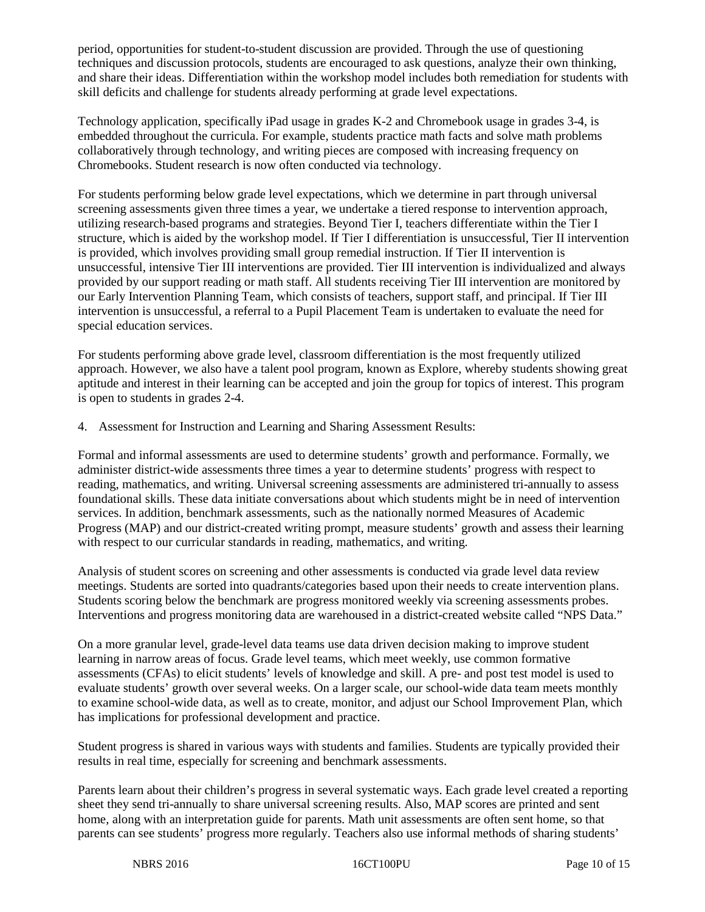period, opportunities for student-to-student discussion are provided. Through the use of questioning techniques and discussion protocols, students are encouraged to ask questions, analyze their own thinking, and share their ideas. Differentiation within the workshop model includes both remediation for students with skill deficits and challenge for students already performing at grade level expectations.

Technology application, specifically iPad usage in grades K-2 and Chromebook usage in grades 3-4, is embedded throughout the curricula. For example, students practice math facts and solve math problems collaboratively through technology, and writing pieces are composed with increasing frequency on Chromebooks. Student research is now often conducted via technology.

For students performing below grade level expectations, which we determine in part through universal screening assessments given three times a year, we undertake a tiered response to intervention approach, utilizing research-based programs and strategies. Beyond Tier I, teachers differentiate within the Tier I structure, which is aided by the workshop model. If Tier I differentiation is unsuccessful, Tier II intervention is provided, which involves providing small group remedial instruction. If Tier II intervention is unsuccessful, intensive Tier III interventions are provided. Tier III intervention is individualized and always provided by our support reading or math staff. All students receiving Tier III intervention are monitored by our Early Intervention Planning Team, which consists of teachers, support staff, and principal. If Tier III intervention is unsuccessful, a referral to a Pupil Placement Team is undertaken to evaluate the need for special education services.

For students performing above grade level, classroom differentiation is the most frequently utilized approach. However, we also have a talent pool program, known as Explore, whereby students showing great aptitude and interest in their learning can be accepted and join the group for topics of interest. This program is open to students in grades 2-4.

4. Assessment for Instruction and Learning and Sharing Assessment Results:

Formal and informal assessments are used to determine students' growth and performance. Formally, we administer district-wide assessments three times a year to determine students' progress with respect to reading, mathematics, and writing. Universal screening assessments are administered tri-annually to assess foundational skills. These data initiate conversations about which students might be in need of intervention services. In addition, benchmark assessments, such as the nationally normed Measures of Academic Progress (MAP) and our district-created writing prompt, measure students' growth and assess their learning with respect to our curricular standards in reading, mathematics, and writing.

Analysis of student scores on screening and other assessments is conducted via grade level data review meetings. Students are sorted into quadrants/categories based upon their needs to create intervention plans. Students scoring below the benchmark are progress monitored weekly via screening assessments probes. Interventions and progress monitoring data are warehoused in a district-created website called "NPS Data."

On a more granular level, grade-level data teams use data driven decision making to improve student learning in narrow areas of focus. Grade level teams, which meet weekly, use common formative assessments (CFAs) to elicit students' levels of knowledge and skill. A pre- and post test model is used to evaluate students' growth over several weeks. On a larger scale, our school-wide data team meets monthly to examine school-wide data, as well as to create, monitor, and adjust our School Improvement Plan, which has implications for professional development and practice.

Student progress is shared in various ways with students and families. Students are typically provided their results in real time, especially for screening and benchmark assessments.

Parents learn about their children's progress in several systematic ways. Each grade level created a reporting sheet they send tri-annually to share universal screening results. Also, MAP scores are printed and sent home, along with an interpretation guide for parents. Math unit assessments are often sent home, so that parents can see students' progress more regularly. Teachers also use informal methods of sharing students'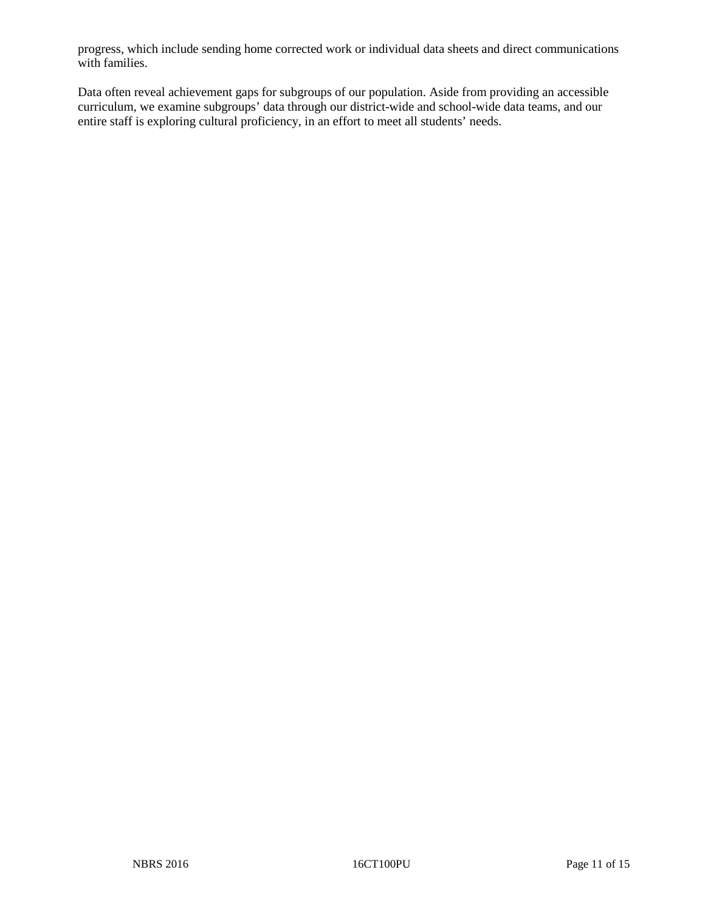progress, which include sending home corrected work or individual data sheets and direct communications with families.

Data often reveal achievement gaps for subgroups of our population. Aside from providing an accessible curriculum, we examine subgroups' data through our district-wide and school-wide data teams, and our entire staff is exploring cultural proficiency, in an effort to meet all students' needs.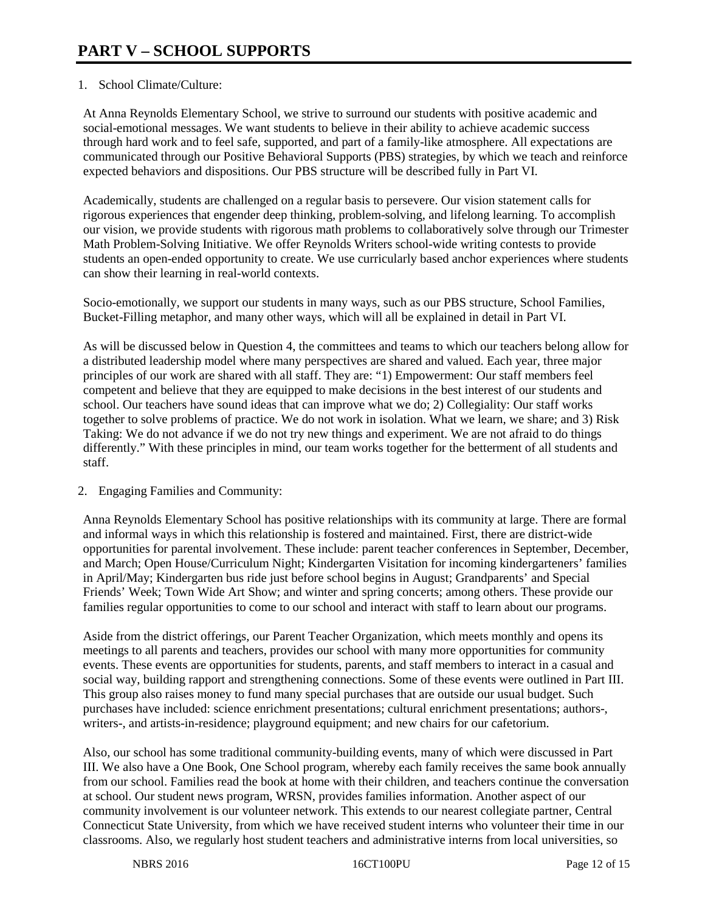# 1. School Climate/Culture:

At Anna Reynolds Elementary School, we strive to surround our students with positive academic and social-emotional messages. We want students to believe in their ability to achieve academic success through hard work and to feel safe, supported, and part of a family-like atmosphere. All expectations are communicated through our Positive Behavioral Supports (PBS) strategies, by which we teach and reinforce expected behaviors and dispositions. Our PBS structure will be described fully in Part VI.

Academically, students are challenged on a regular basis to persevere. Our vision statement calls for rigorous experiences that engender deep thinking, problem-solving, and lifelong learning. To accomplish our vision, we provide students with rigorous math problems to collaboratively solve through our Trimester Math Problem-Solving Initiative. We offer Reynolds Writers school-wide writing contests to provide students an open-ended opportunity to create. We use curricularly based anchor experiences where students can show their learning in real-world contexts.

Socio-emotionally, we support our students in many ways, such as our PBS structure, School Families, Bucket-Filling metaphor, and many other ways, which will all be explained in detail in Part VI.

As will be discussed below in Question 4, the committees and teams to which our teachers belong allow for a distributed leadership model where many perspectives are shared and valued. Each year, three major principles of our work are shared with all staff. They are: "1) Empowerment: Our staff members feel competent and believe that they are equipped to make decisions in the best interest of our students and school. Our teachers have sound ideas that can improve what we do; 2) Collegiality: Our staff works together to solve problems of practice. We do not work in isolation. What we learn, we share; and 3) Risk Taking: We do not advance if we do not try new things and experiment. We are not afraid to do things differently." With these principles in mind, our team works together for the betterment of all students and staff.

# 2. Engaging Families and Community:

Anna Reynolds Elementary School has positive relationships with its community at large. There are formal and informal ways in which this relationship is fostered and maintained. First, there are district-wide opportunities for parental involvement. These include: parent teacher conferences in September, December, and March; Open House/Curriculum Night; Kindergarten Visitation for incoming kindergarteners' families in April/May; Kindergarten bus ride just before school begins in August; Grandparents' and Special Friends' Week; Town Wide Art Show; and winter and spring concerts; among others. These provide our families regular opportunities to come to our school and interact with staff to learn about our programs.

Aside from the district offerings, our Parent Teacher Organization, which meets monthly and opens its meetings to all parents and teachers, provides our school with many more opportunities for community events. These events are opportunities for students, parents, and staff members to interact in a casual and social way, building rapport and strengthening connections. Some of these events were outlined in Part III. This group also raises money to fund many special purchases that are outside our usual budget. Such purchases have included: science enrichment presentations; cultural enrichment presentations; authors-, writers-, and artists-in-residence; playground equipment; and new chairs for our cafetorium.

Also, our school has some traditional community-building events, many of which were discussed in Part III. We also have a One Book, One School program, whereby each family receives the same book annually from our school. Families read the book at home with their children, and teachers continue the conversation at school. Our student news program, WRSN, provides families information. Another aspect of our community involvement is our volunteer network. This extends to our nearest collegiate partner, Central Connecticut State University, from which we have received student interns who volunteer their time in our classrooms. Also, we regularly host student teachers and administrative interns from local universities, so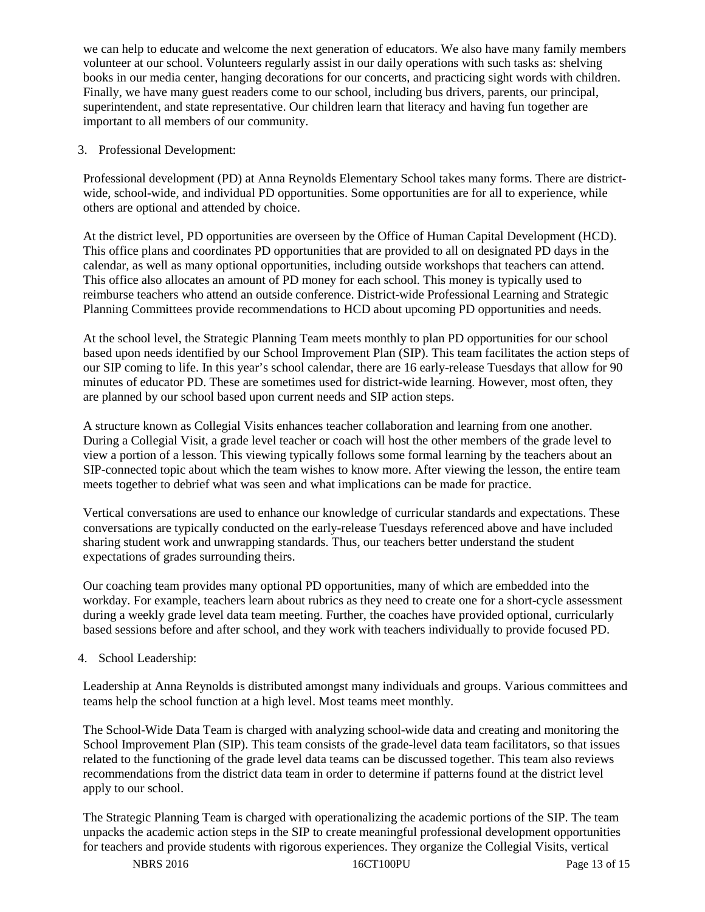we can help to educate and welcome the next generation of educators. We also have many family members volunteer at our school. Volunteers regularly assist in our daily operations with such tasks as: shelving books in our media center, hanging decorations for our concerts, and practicing sight words with children. Finally, we have many guest readers come to our school, including bus drivers, parents, our principal, superintendent, and state representative. Our children learn that literacy and having fun together are important to all members of our community.

# 3. Professional Development:

Professional development (PD) at Anna Reynolds Elementary School takes many forms. There are districtwide, school-wide, and individual PD opportunities. Some opportunities are for all to experience, while others are optional and attended by choice.

At the district level, PD opportunities are overseen by the Office of Human Capital Development (HCD). This office plans and coordinates PD opportunities that are provided to all on designated PD days in the calendar, as well as many optional opportunities, including outside workshops that teachers can attend. This office also allocates an amount of PD money for each school. This money is typically used to reimburse teachers who attend an outside conference. District-wide Professional Learning and Strategic Planning Committees provide recommendations to HCD about upcoming PD opportunities and needs.

At the school level, the Strategic Planning Team meets monthly to plan PD opportunities for our school based upon needs identified by our School Improvement Plan (SIP). This team facilitates the action steps of our SIP coming to life. In this year's school calendar, there are 16 early-release Tuesdays that allow for 90 minutes of educator PD. These are sometimes used for district-wide learning. However, most often, they are planned by our school based upon current needs and SIP action steps.

A structure known as Collegial Visits enhances teacher collaboration and learning from one another. During a Collegial Visit, a grade level teacher or coach will host the other members of the grade level to view a portion of a lesson. This viewing typically follows some formal learning by the teachers about an SIP-connected topic about which the team wishes to know more. After viewing the lesson, the entire team meets together to debrief what was seen and what implications can be made for practice.

Vertical conversations are used to enhance our knowledge of curricular standards and expectations. These conversations are typically conducted on the early-release Tuesdays referenced above and have included sharing student work and unwrapping standards. Thus, our teachers better understand the student expectations of grades surrounding theirs.

Our coaching team provides many optional PD opportunities, many of which are embedded into the workday. For example, teachers learn about rubrics as they need to create one for a short-cycle assessment during a weekly grade level data team meeting. Further, the coaches have provided optional, curricularly based sessions before and after school, and they work with teachers individually to provide focused PD.

# 4. School Leadership:

Leadership at Anna Reynolds is distributed amongst many individuals and groups. Various committees and teams help the school function at a high level. Most teams meet monthly.

The School-Wide Data Team is charged with analyzing school-wide data and creating and monitoring the School Improvement Plan (SIP). This team consists of the grade-level data team facilitators, so that issues related to the functioning of the grade level data teams can be discussed together. This team also reviews recommendations from the district data team in order to determine if patterns found at the district level apply to our school.

The Strategic Planning Team is charged with operationalizing the academic portions of the SIP. The team unpacks the academic action steps in the SIP to create meaningful professional development opportunities for teachers and provide students with rigorous experiences. They organize the Collegial Visits, vertical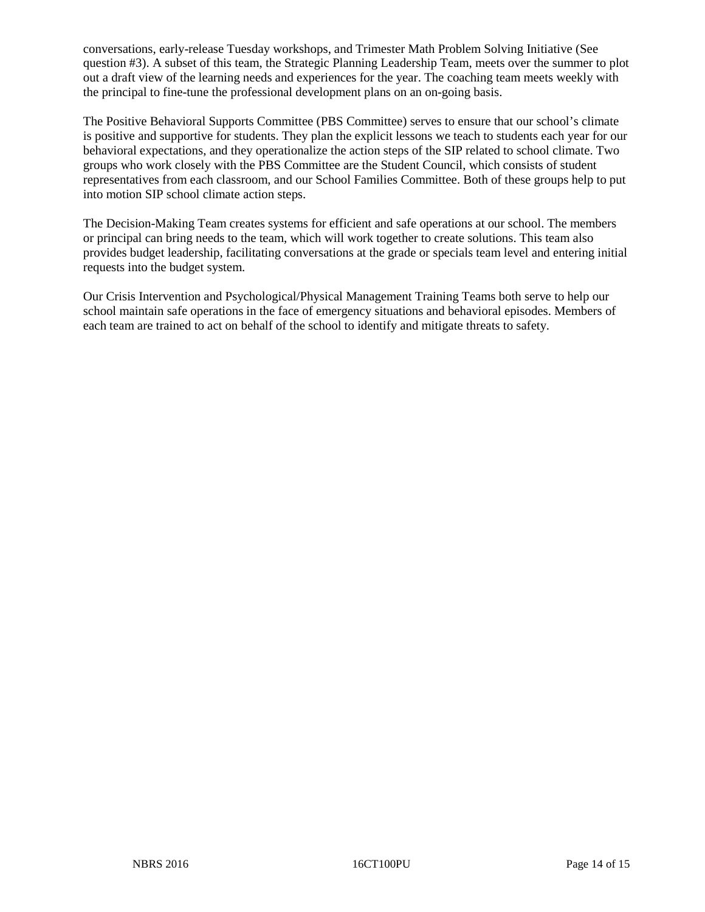conversations, early-release Tuesday workshops, and Trimester Math Problem Solving Initiative (See question #3). A subset of this team, the Strategic Planning Leadership Team, meets over the summer to plot out a draft view of the learning needs and experiences for the year. The coaching team meets weekly with the principal to fine-tune the professional development plans on an on-going basis.

The Positive Behavioral Supports Committee (PBS Committee) serves to ensure that our school's climate is positive and supportive for students. They plan the explicit lessons we teach to students each year for our behavioral expectations, and they operationalize the action steps of the SIP related to school climate. Two groups who work closely with the PBS Committee are the Student Council, which consists of student representatives from each classroom, and our School Families Committee. Both of these groups help to put into motion SIP school climate action steps.

The Decision-Making Team creates systems for efficient and safe operations at our school. The members or principal can bring needs to the team, which will work together to create solutions. This team also provides budget leadership, facilitating conversations at the grade or specials team level and entering initial requests into the budget system.

Our Crisis Intervention and Psychological/Physical Management Training Teams both serve to help our school maintain safe operations in the face of emergency situations and behavioral episodes. Members of each team are trained to act on behalf of the school to identify and mitigate threats to safety.